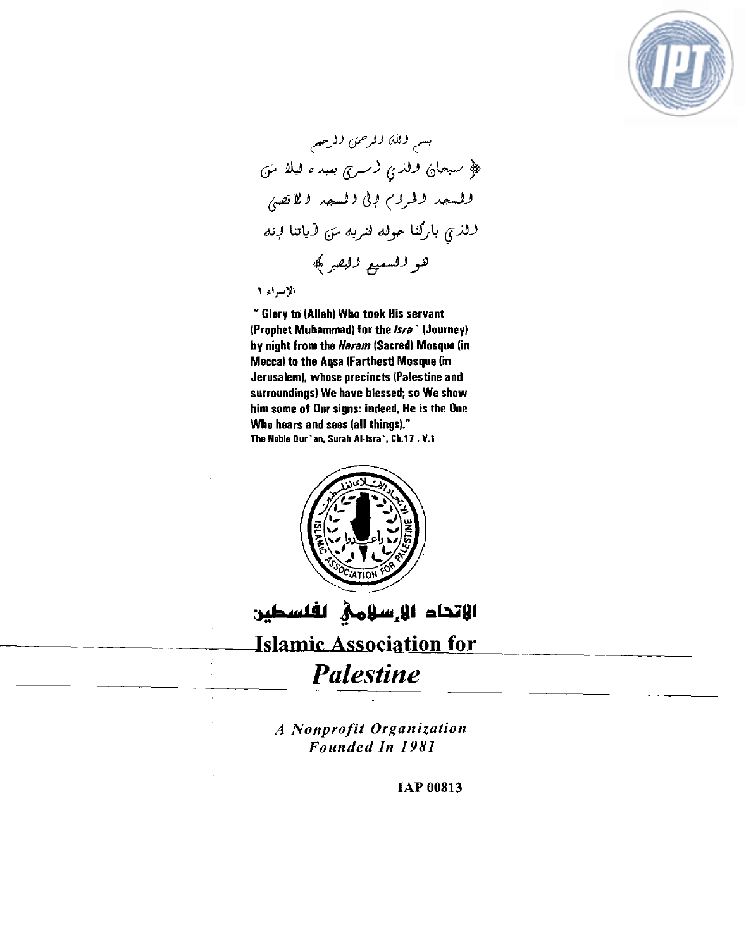

بسم وللك وفرحمتى وفرحيم ﴿ سَبْحَايَ لَالَّذِي لَاسْرِي بَعْيَدَهُ لَيْلًا مَنَ ولمسمد ولحروح وبي ولمسمد ولأتصى وفذي باركنا موفه فنربه من أباتنا فرنه هو للسعيع لالبقير ﴾

الإسراء ١

" Glory to (Allah) Who took His servant (Prophet Muhammad) for the *lsra* ' (Journey) by night from **the** *Haram* (Sacred) Mosque [in Mecca) to the Aqsa (Farthest) Mosque (in Jerusalem). whose precincts [Palestine and surroundings) We have blessed; so We show him some of Our signs: indeed. He is the One Who hears and sees (all things)." **The Noble Our'an. Surah AI-lsra'. Ch.17** . **V.1** 



الاتحاد الإرسلامي لفلسطين

## **Islamic Association for**

## *Palestine*

*A Nonprofit Organization Founded In 1981*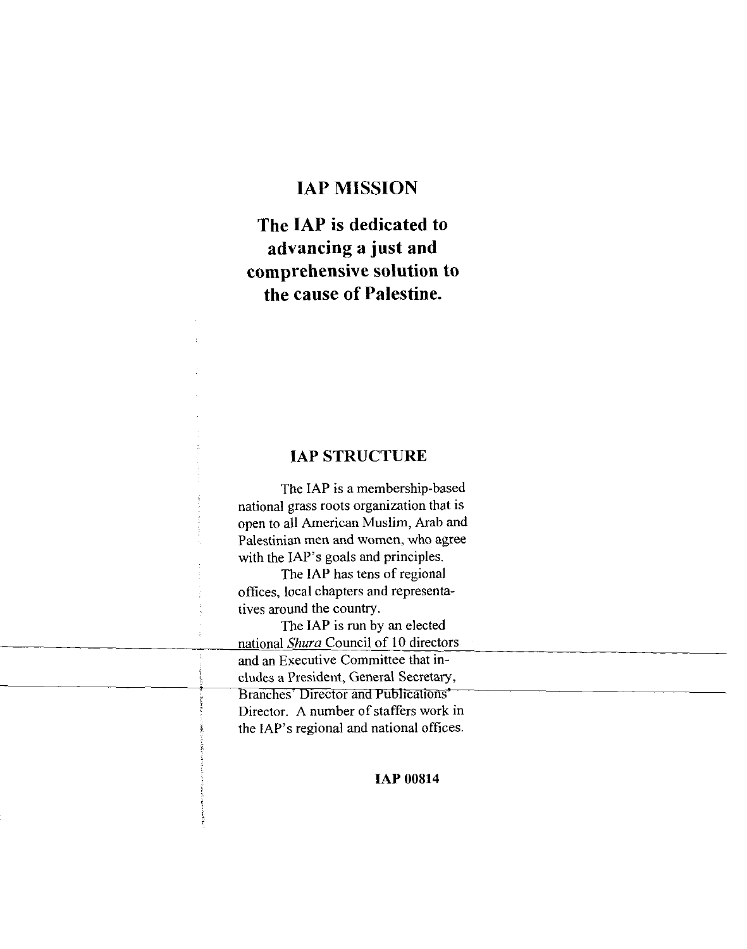### **IAP MISSION**

**The IAP is dedicated to advancing a just and comprehensive solution to the cause of Palestine.** 

#### **IAP STRUCTURE**

The IAP is a membership-based national grass roots organization that is open to all American Muslim, Arab and Palestinian men and women, who agree with the IAP's goals and principles.

The IAP has tens of regional offices, local chapters and representatives around the country.

The IAP is run by an elected national *Shura* Council of 10 directors and an Executive Committee that includes a President, General Secretary, Branches' Director and Publications' Director. A number of staffers work in the IAP's regional and national offices.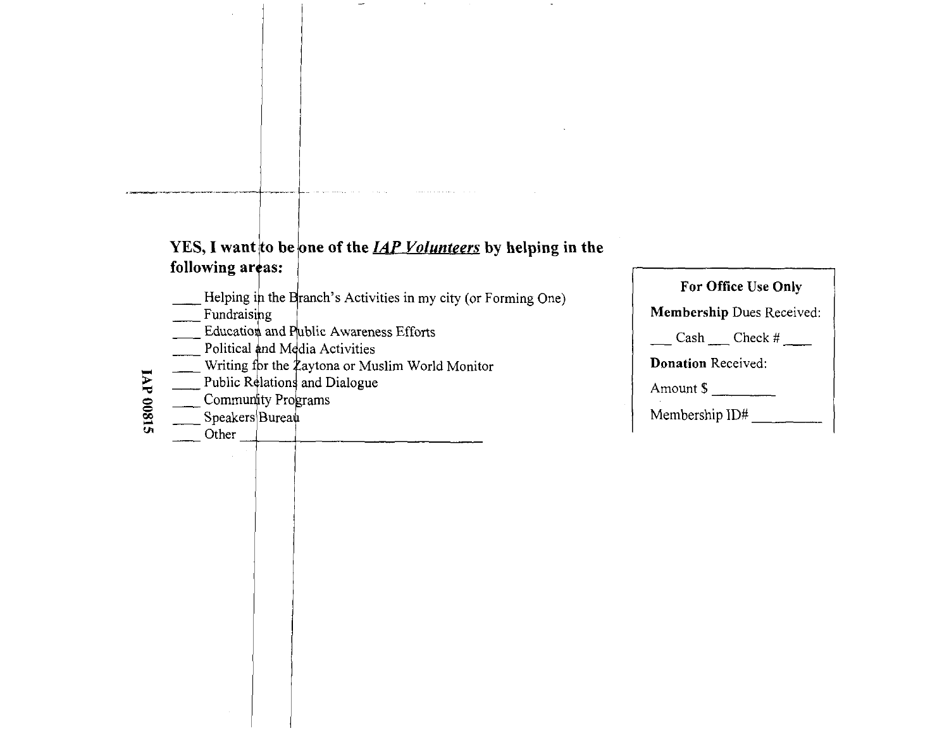## **he** of the <u>IAP Volunteers</u> by helping in the following areas:

 $\ddot{\phantom{0}}$ 

- Helping in the Branch's Activities in my city (or Forming One)
- Fundraising
- Education and Public Awareness Efforts<br>Political and Media Activities
- 
- Writing for the  $\frac{1}{2}$  aytona or Muslim World Monitor
- **LAP 00815** Public Relations and Dialogue
- Community Programs
- Speakers Bureau
	- Other

| For Office Use Only              |  |  |
|----------------------------------|--|--|
| <b>Membership Dues Received:</b> |  |  |
| $\text{Cash}$ $\text{Check}$ #   |  |  |
| <b>Donation</b> Received:        |  |  |
| Amount \$                        |  |  |
| Membership ID#                   |  |  |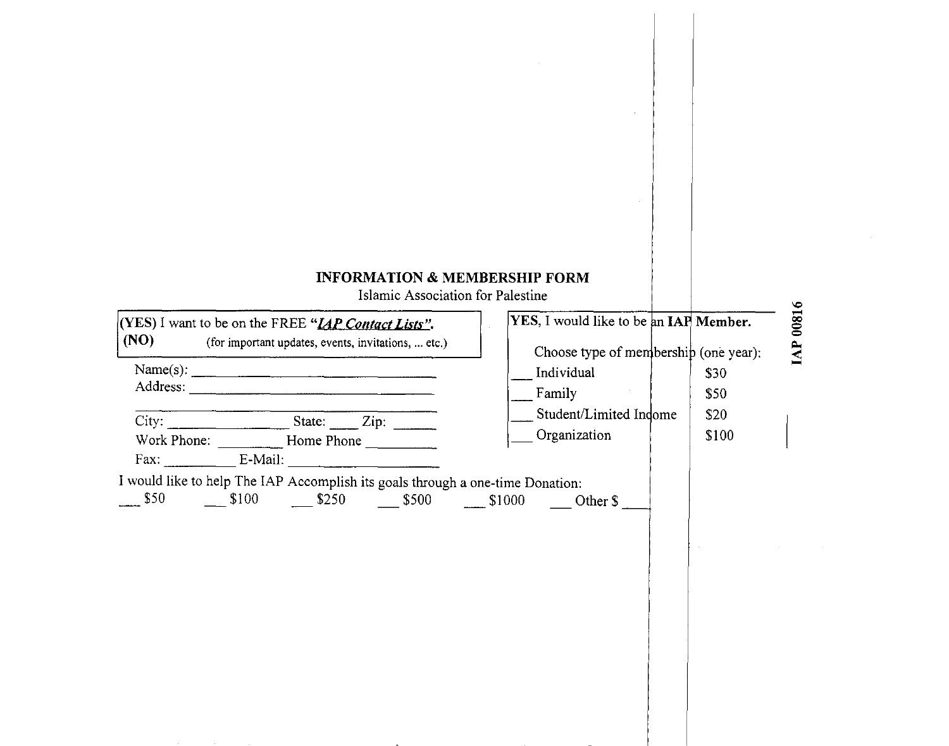## **INFORMATION & MEMBERSHIP FORM**<br>Islamic Association for Palestine

| (YES) I want to be on the FREE " <i>IAP Contact Lists</i> ".<br>(NO)<br>(for important updates, events, invitations,  etc.)                                                 | YES, I would like to be an IAP Member.                                                                  |                               |
|-----------------------------------------------------------------------------------------------------------------------------------------------------------------------------|---------------------------------------------------------------------------------------------------------|-------------------------------|
| Name(s): $\qquad \qquad$<br>Fax: E-Mail:<br>I would like to help The IAP Accomplish its goals through a one-time Donation:<br>\$50<br>$$100$ $$250$ $$500$ $$1000$ Other \$ | Choose type of membership (one year):<br>Individual<br>Family<br>Student/Limited Indome<br>Organization | \$30<br>\$50<br>\$20<br>\$100 |
|                                                                                                                                                                             |                                                                                                         |                               |

# w **3 0**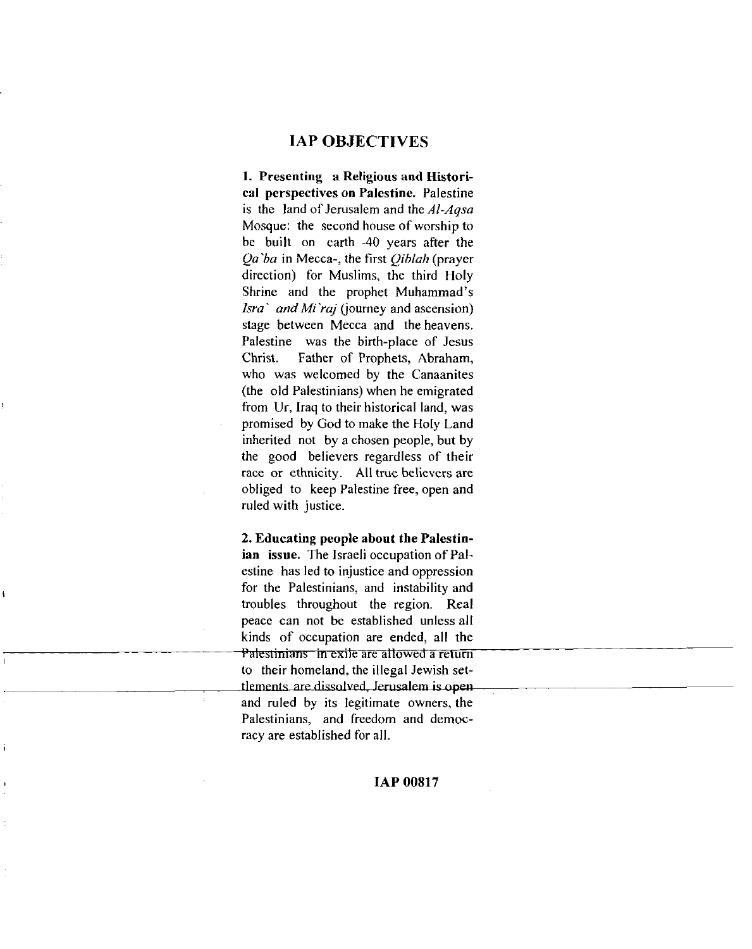#### **IAP OBJECTIVES**

1. Presenting a Religious and Historical perspectives on Palestine. Palestine is the land of Jerusalem and the Al-Aqsa Mosque: the second house of worship to be built on earth -40 years after the *Qa'ba* in Mecca-, the first *Qiblah* (prayer direction) for Muslims, the third Holy Shrine and the prophet Muhammad's *Isra` and Mi'raj* (journey and ascension) stage between Mecca and the heavens. Palestine was the birth-place of Jesus Christ. Father of Prophets, Abraham, who was welcomed by the Canaanites (the old Palestinians) when he emigrated from Ur, Iraq to their historical land, was promised by God to make the Holy Land inherited not by a chosen people, but by the good believers regardless of their race or ethnicity. All true believers are obliged to keep Palestine free, open and ruled with justice. **IAP ORJECTIVES**<br> **Presenting a Melgions and Histori-**<br> **Presenting a Melgions and Histori-**<br> **Resenting a Melgions in Palestine.** Palestine<br>
the second bound of version five the second bound of the second bound of<br> *Let* 

2. Educating people about the Palestinian issue. The Israeli occupation of Palestine has led to injustice and oppression **<sup>I</sup>**for the Palestinians, and instability and troubles throughout the region. Real peace can not be established unless all kinds of occupation are ended, all the Palestinians in exile are allowed a return to their homeland, the illegal Jewish setand ruled by its legitimate owners, the Palestinians, and freedom and democracy are established for all.

I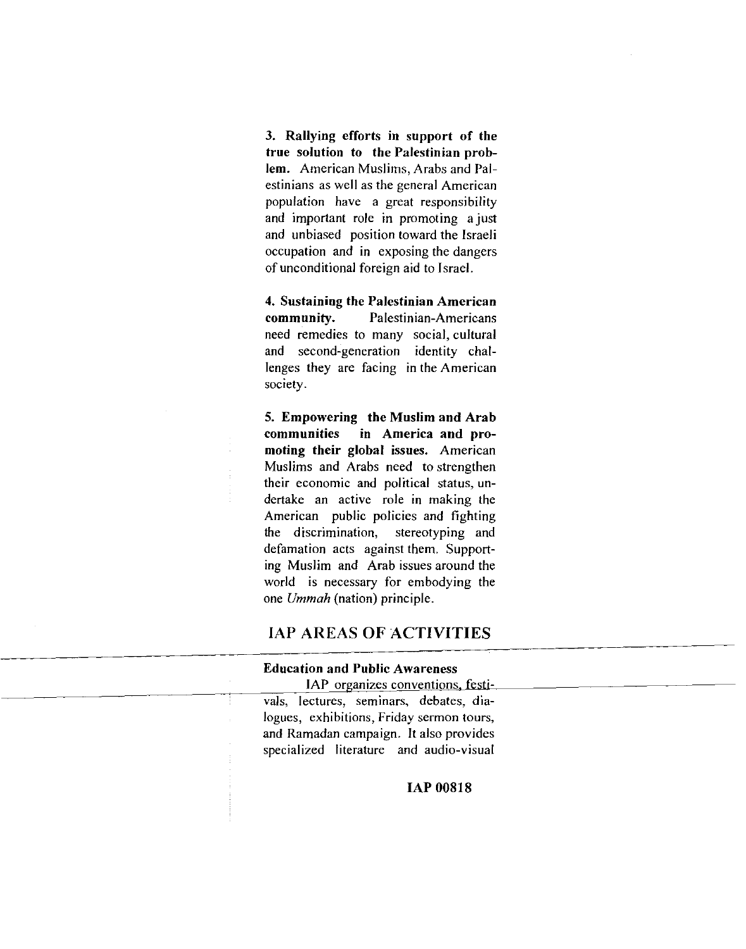3. Rallying efforts in support of the true solution to the Palestinian problem. American Muslims, Arabs and Palestinians as well as the general American population have a great responsibility and important role in promoting a just and unbiased position toward the Israeli occupation and in exposing the dangers of unconditional foreign aid to Israel.

4. Sustaining the Palestinian American community. Palestinian-Americans need remedies to many social, cultural and second-generation identity challenges they are facing in the American society.

5. Empowering the Muslim and Arab communities in America and promoting their global issues. American Muslims and Arabs need to strengthen their economic and political status, undertake an active role in making the American public policies and fighting the discrimination, stereotyping and defamation acts against them. Supporting Muslim and Arab issues around the world is necessary for embodying the one *Ummah* (nation) principle.

#### **IAP AREAS OF ACTIVITIES**

#### Education and Public Awareness

IAP organizes conventions. festivals, lectures, seminars, debates, dialogues, exhibitions, Friday sermon tours, and Ramadan campaign. It also provides specialized literature and audio-visual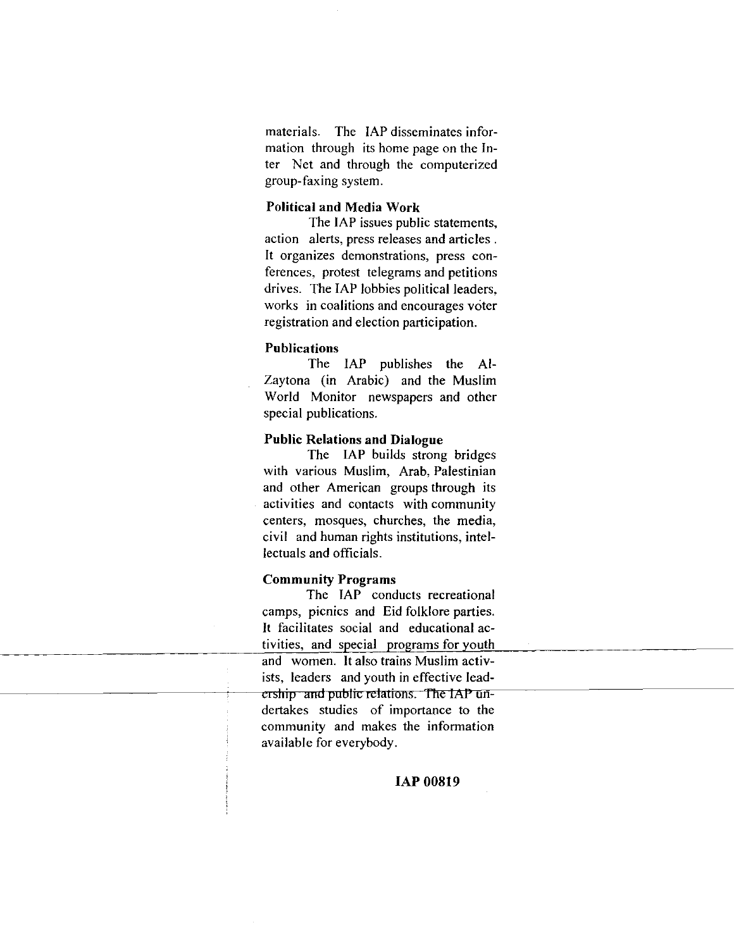materials. The IAP disseminates information through its home page on the Inter Net and through the computerized group-faxing system.

#### Political and Media Work

The IAP issues public statements, action alerts, press releases and articles . It organizes demonstrations, press conferences, protest telegrams and petitions drives. The IAP lobbies political leaders, works in coalitions and encourages voter registration and election participation.

#### Publications

The IAP publishes the AI-Zaytona (in Arabic) and the Muslim World Monitor newspapers and other special publications.

#### Public Relations and Dialogue

The IAP builds strong bridges with various Muslim, Arab, Palestinian and other American groups through its activities and contacts with community centers, mosques, churches, the media, civil and human rights institutions, intellectuals and officials.

#### Community Programs

The IAP conducts recreational camps, picnics and Eid folklore parties. It facilitates social and educational activities, and special programs for youth and women. It also trains Muslim activists, leaders and youth in effective lead ership and public relations. The IAP undertakes studies of importance to the community and makes the information available for everybody.